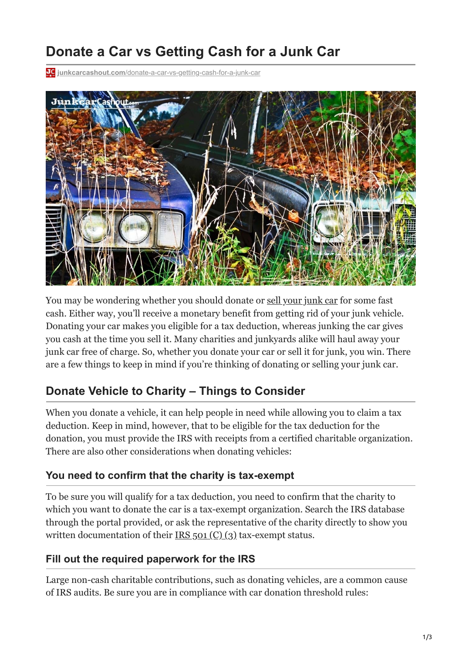# **Donate a Car vs Getting Cash for a Junk Car**

**junkcarcashout.com**[/donate-a-car-vs-getting-cash-for-a-junk-car](https://junkcarcashout.com/donate-a-car-vs-getting-cash-for-a-junk-car/)



You may be wondering whether you should donate or [sell your junk car](https://junkcarcashout.com/blog/when-sell-your-car/) for some fast cash. Either way, you'll receive a monetary benefit from getting rid of your junk vehicle. Donating your car makes you eligible for a tax deduction, whereas junking the car gives you cash at the time you sell it. Many charities and junkyards alike will haul away your junk car free of charge. So, whether you donate your car or sell it for junk, you win. There are a few things to keep in mind if you're thinking of donating or selling your junk car.

### **Donate Vehicle to Charity – Things to Consider**

When you donate a vehicle, it can help people in need while allowing you to claim a tax deduction. Keep in mind, however, that to be eligible for the tax deduction for the donation, you must provide the IRS with receipts from a certified charitable organization. There are also other considerations when donating vehicles:

#### **You need to confirm that the charity is tax-exempt**

To be sure you will qualify for a tax deduction, you need to confirm that the charity to which you want to donate the car is a tax-exempt organization. Search the IRS database through the portal provided, or ask the representative of the charity directly to show you written documentation of their [IRS 501 \(C\) \(3\)](https://www.irs.gov/charities-non-profits/charitable-organizations/exemption-requirements-501c3-organizations) tax-exempt status.

### **Fill out the required paperwork for the IRS**

Large non-cash charitable contributions, such as donating vehicles, are a common cause of IRS audits. Be sure you are in compliance with car donation threshold rules: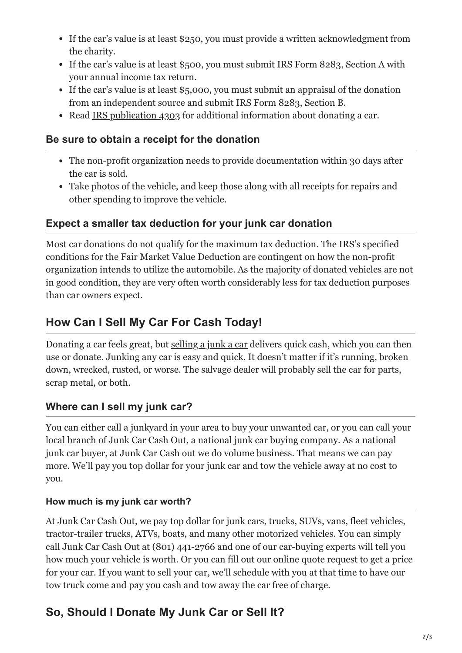- If the car's value is at least \$250, you must provide a written acknowledgment from the charity.
- If the car's value is at least \$500, you must submit IRS Form 8283, Section A with your annual income tax return.
- If the car's value is at least \$5,000, you must submit an appraisal of the donation from an independent source and submit IRS Form 8283, Section B.
- Read [IRS publication 4303](https://www.irs.gov/pub/irs-pdf/p4303.pdf) for additional information about donating a car.

### **Be sure to obtain a receipt for the donation**

- The non-profit organization needs to provide documentation within 30 days after the car is sold.
- Take photos of the vehicle, and keep those along with all receipts for repairs and other spending to improve the vehicle.

### **Expect a smaller tax deduction for your junk car donation**

Most car donations do not qualify for the maximum tax deduction. The IRS's specified conditions for the [Fair Market Value Deduction](https://www.irs.gov/publications/p561) are contingent on how the non-profit organization intends to utilize the automobile. As the majority of donated vehicles are not in good condition, they are very often worth considerably less for tax deduction purposes than car owners expect.

# **How Can I Sell My Car For Cash Today!**

Donating a car feels great, but [selling a junk a car](https://junkcarcashout.com/we-buy-junk-cars/) delivers quick cash, which you can then use or donate. Junking any car is easy and quick. It doesn't matter if it's running, broken down, wrecked, rusted, or worse. The salvage dealer will probably sell the car for parts, scrap metal, or both.

### **Where can I sell my junk car?**

You can either call a junkyard in your area to buy your unwanted car, or you can call your local branch of Junk Car Cash Out, a national junk car buying company. As a national junk car buyer, at Junk Car Cash out we do volume business. That means we can pay more. We'll pay you [top dollar for your junk car](https://junkcarcashout.com/how-to-get-the-best-price-for-your-junk-car/) and tow the vehicle away at no cost to you.

### **How much is my junk car worth?**

At Junk Car Cash Out, we pay top dollar for junk cars, trucks, SUVs, vans, fleet vehicles, tractor-trailer trucks, ATVs, boats, and many other motorized vehicles. You can simply call [Junk Car Cash Out](https://junkcarcashout.com/blog/how-much-money-your-junk-car-worth/) at (801) 441-2766 and one of our car-buying experts will tell you how much your vehicle is worth. Or you can fill out our online quote request to get a price for your car. If you want to sell your car, we'll schedule with you at that time to have our tow truck come and pay you cash and tow away the car free of charge.

# **So, Should I Donate My Junk Car or Sell It?**